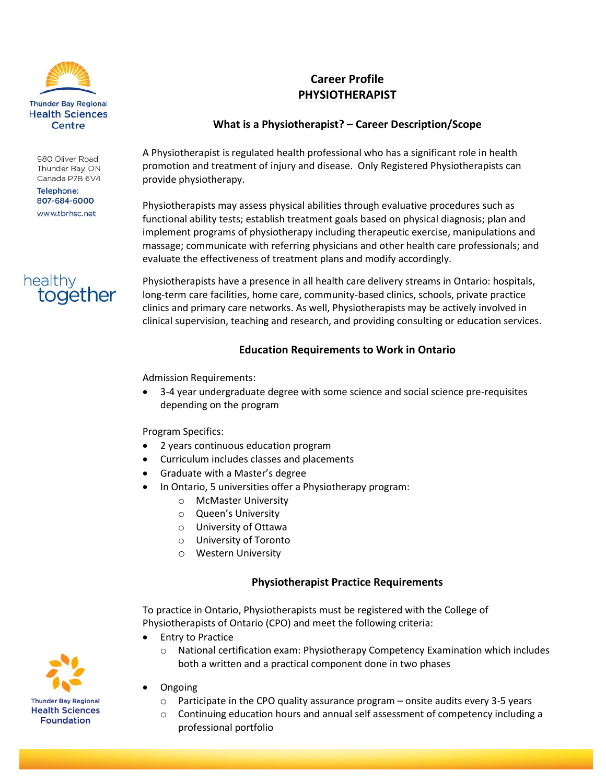

980 Oliver Road Thunder Bay, ON Canada P7B 6V4

**Telephone:** 807-684-6000 www.tbrhsc.net



# **Career Profile PHYSIOTHERAPIST**

### **What is a Physiotherapist? – Career Description/Scope**

A Physiotherapist is regulated health professional who has a significant role in health promotion and treatment of injury and disease. Only Registered Physiotherapists can provide physiotherapy.

Physiotherapists may assess physical abilities through evaluative procedures such as functional ability tests; establish treatment goals based on physical diagnosis; plan and implement programs of physiotherapy including therapeutic exercise, manipulations and massage; communicate with referring physicians and other health care professionals; and evaluate the effectiveness of treatment plans and modify accordingly.

Physiotherapists have a presence in all health care delivery streams in Ontario: hospitals, long-term care facilities, home care, community-based clinics, schools, private practice clinics and primary care networks. As well, Physiotherapists may be actively involved in clinical supervision, teaching and research, and providing consulting or education services.

#### **Education Requirements to Work in Ontario**

Admission Requirements:

 3-4 year undergraduate degree with some science and social science pre-requisites depending on the program

#### Program Specifics:

- 2 years continuous education program
- Curriculum includes classes and placements
- Graduate with a Master's degree
	- In Ontario, 5 universities offer a Physiotherapy program:
		- o McMaster University
		- o Queen's University
		- o University of Ottawa
		- o University of Toronto
		- o Western University

#### **Physiotherapist Practice Requirements**

To practice in Ontario, Physiotherapists must be registered with the College of Physiotherapists of Ontario (CPO) and meet the following criteria:

- Entry to Practice
	- o National certification exam: Physiotherapy Competency Examination which includes both a written and a practical component done in two phases
- Ongoing
	- $\circ$  Participate in the CPO quality assurance program onsite audits every 3-5 years
	- $\circ$  Continuing education hours and annual self assessment of competency including a professional portfolio